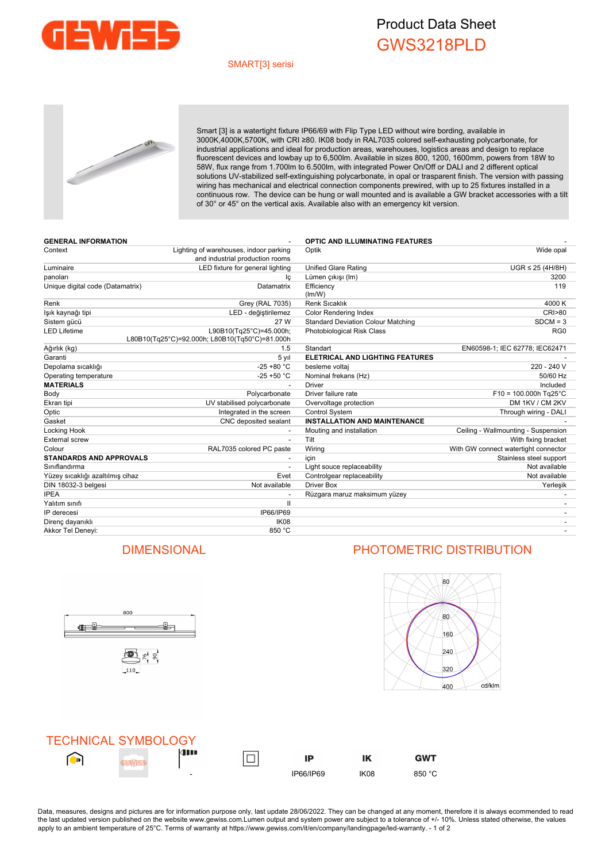

## Product Data Sheet GWS3218PLD

### SMART[3] serisi



Smart [3] is a watertight fixture IP66/69 with Flip Type LED without wire bording, available in 3000K,4000K,5700K, with CRI ≥80. IK08 body in RAL7035 colored self-exhausting polycarbonate, for industrial applications and ideal for production areas, warehouses, logistics areas and design to replace fluorescent devices and lowbay up to 6,500lm. Available in sizes 800, 1200, 1600mm, powers from 18W to 58W, flux range from 1.700lm to 6.500lm, with integrated Power On/Off or DALI and 2 different optical solutions UV-stabilized self-extinguishing polycarbonate, in opal or trasparent finish. The version with passing wiring has mechanical and electrical connection components prewired, with up to 25 fixtures installed in a continuous row. The device can be hung or wall mounted and is available a GW bracket accessories with a tilt of 30° or 45° on the vertical axis. Available also with an emergency kit version.

| <b>GENERAL INFORMATION</b>       |                                                                           | <b>OPTIC AND ILLUMINATING FEATURES</b>    |                                      |  |  |
|----------------------------------|---------------------------------------------------------------------------|-------------------------------------------|--------------------------------------|--|--|
| Context                          | Lighting of warehouses, indoor parking<br>and industrial production rooms | Optik                                     | Wide opal                            |  |  |
| Luminaire                        | LED fixture for general lighting                                          | Unified Glare Rating                      | $UGR \leq 25$ (4H/8H)                |  |  |
| panoları                         | lç                                                                        | Lümen çıkışı (Im)                         | 3200                                 |  |  |
| Unique digital code (Datamatrix) | Datamatrix                                                                | Efficiency<br>(lm/W)                      | 119                                  |  |  |
| Renk                             | Grey (RAL 7035)                                                           | <b>Renk Sıcaklık</b>                      | 4000 K                               |  |  |
| lşık kaynağı tipi                | LED - değiştirilemez                                                      | Color Rendering Index                     | <b>CRI&gt;80</b>                     |  |  |
| Sistem gücü                      | 27 W                                                                      | <b>Standard Deviation Colour Matching</b> | $SDCM = 3$                           |  |  |
| <b>LED Lifetime</b>              | L90B10(Tg25°C)=45.000h;<br>L80B10(Tg25°C)=92.000h; L80B10(Tg50°C)=81.000h | Photobiological Risk Class                | RG <sub>0</sub>                      |  |  |
| Ağırlık (kg)                     | 1.5                                                                       | Standart                                  | EN60598-1; IEC 62778; IEC62471       |  |  |
| Garanti                          | 5 yıl                                                                     | <b>ELETRICAL AND LIGHTING FEATURES</b>    |                                      |  |  |
| Depolama sıcaklığı               | $-25 + 80 °C$                                                             | besleme voltaj                            | 220 - 240 V                          |  |  |
| Operating temperature            | $-25 + 50 °C$                                                             | Nominal frekans (Hz)                      | 50/60 Hz                             |  |  |
| <b>MATERIALS</b>                 |                                                                           | <b>Driver</b>                             | Included                             |  |  |
| Body                             | Polycarbonate                                                             | Driver failure rate                       | $F10 = 100.000h$ Tg25°C              |  |  |
| Ekran tipi                       | UV stabilised polycarbonate                                               | Overvoltage protection                    | DM 1KV / CM 2KV                      |  |  |
| Optic                            | Integrated in the screen                                                  | <b>Control System</b>                     | Through wiring - DALI                |  |  |
| Gasket                           | CNC deposited sealant                                                     | <b>INSTALLATION AND MAINTENANCE</b>       |                                      |  |  |
| Locking Hook                     |                                                                           | Mouting and installation                  | Ceiling - Wallmounting - Suspension  |  |  |
| <b>External screw</b>            |                                                                           | Tilt                                      | With fixing bracket                  |  |  |
| Colour                           | RAL7035 colored PC paste                                                  | Wiring                                    | With GW connect watertight connector |  |  |
| <b>STANDARDS AND APPROVALS</b>   |                                                                           | icin                                      | Stainless steel support              |  |  |
| Siniflandirma                    |                                                                           | Light souce replaceability                | Not available                        |  |  |
| Yüzey sıcaklığı azaltılmış cihaz | Evet                                                                      | Controlgear replaceability                | Not available                        |  |  |
| DIN 18032-3 belgesi              | Not available                                                             | <b>Driver Box</b>                         | Yerleşik                             |  |  |
| <b>IPEA</b>                      |                                                                           | Rüzgara maruz maksimum yüzey              |                                      |  |  |
| Yalıtım sınıfı                   | $\mathbf{I}$                                                              |                                           |                                      |  |  |
| IP derecesi                      | IP66/IP69                                                                 |                                           |                                      |  |  |
| Direnç dayanıklı                 | IK <sub>08</sub>                                                          |                                           |                                      |  |  |
| Akkor Tel Deneyi:                | 850 °C                                                                    |                                           |                                      |  |  |



## DIMENSIONAL PHOTOMETRIC DISTRIBUTION



| <b>TECHNICAL SYMBOLOGY</b> |                          |           |      |                |
|----------------------------|--------------------------|-----------|------|----------------|
| <b>D</b>                   | <b>de 19</b>             | IP        | ΙK   | GWT            |
|                            | $\overline{\phantom{a}}$ | IP66/IP69 | IK08 | $\circ$<br>850 |

Data, measures, designs and pictures are for information purpose only, last update 28/06/2022. They can be changed at any moment, therefore it is always ecommended to read the last updated version published on the website www.gewiss.com.Lumen output and system power are subject to a tolerance of +/-10%. Unless stated otherwise, the values apply to an ambient temperature of 25°C. Terms of warranty at https://www.gewiss.com/it/en/company/landingpage/led-warranty. - 1 of 2